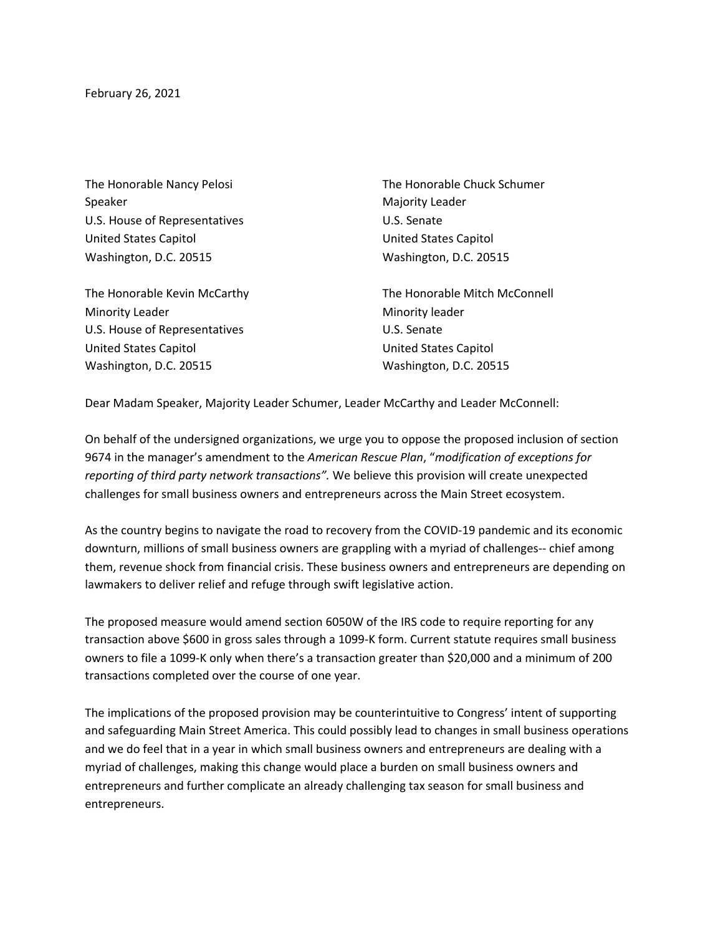February 26, 2021

The Honorable Nancy Pelosi Speaker U.S. House of Representatives United States Capitol Washington, D.C. 20515

The Honorable Kevin McCarthy Minority Leader U.S. House of Representatives United States Capitol Washington, D.C. 20515

The Honorable Chuck Schumer Majority Leader U.S. Senate United States Capitol Washington, D.C. 20515

The Honorable Mitch McConnell Minority leader U.S. Senate United States Capitol Washington, D.C. 20515

Dear Madam Speaker, Majority Leader Schumer, Leader McCarthy and Leader McConnell:

On behalf of the undersigned organizations, we urge you to oppose the proposed inclusion of section 9674 in the manager's amendment to the *American Rescue Plan*, "*modification of exceptions for reporting of third party network transactions".* We believe this provision will create unexpected challenges for small business owners and entrepreneurs across the Main Street ecosystem.

As the country begins to navigate the road to recovery from the COVID-19 pandemic and its economic downturn, millions of small business owners are grappling with a myriad of challenges-- chief among them, revenue shock from financial crisis. These business owners and entrepreneurs are depending on lawmakers to deliver relief and refuge through swift legislative action.

The proposed measure would amend section 6050W of the IRS code to require reporting for any transaction above \$600 in gross sales through a 1099-K form. Current statute requires small business owners to file a 1099-K only when there's a transaction greater than \$20,000 and a minimum of 200 transactions completed over the course of one year.

The implications of the proposed provision may be counterintuitive to Congress' intent of supporting and safeguarding Main Street America. This could possibly lead to changes in small business operations and we do feel that in a year in which small business owners and entrepreneurs are dealing with a myriad of challenges, making this change would place a burden on small business owners and entrepreneurs and further complicate an already challenging tax season for small business and entrepreneurs.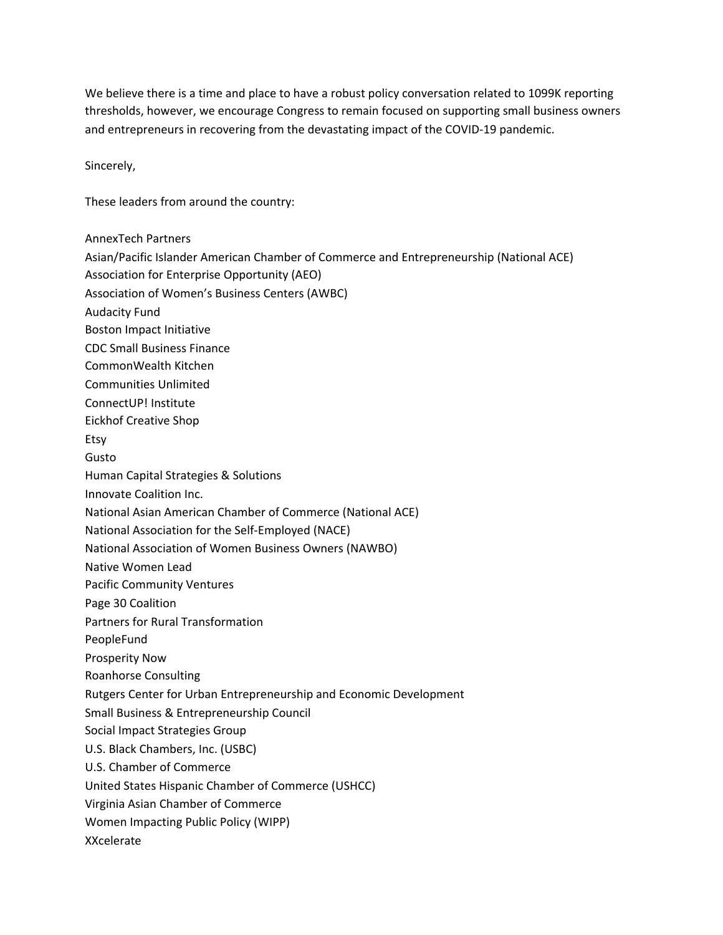We believe there is a time and place to have a robust policy conversation related to 1099K reporting thresholds, however, we encourage Congress to remain focused on supporting small business owners and entrepreneurs in recovering from the devastating impact of the COVID-19 pandemic.

Sincerely,

These leaders from around the country:

AnnexTech Partners Asian/Pacific Islander American Chamber of Commerce and Entrepreneurship (National ACE) Association for Enterprise Opportunity (AEO) Association of Women's Business Centers (AWBC) Audacity Fund Boston Impact Initiative CDC Small Business Finance CommonWealth Kitchen Communities Unlimited ConnectUP! Institute Eickhof Creative Shop Etsy Gusto Human Capital Strategies & Solutions Innovate Coalition Inc. National Asian American Chamber of Commerce (National ACE) National Association for the Self-Employed (NACE) National Association of Women Business Owners (NAWBO) Native Women Lead Pacific Community Ventures Page 30 Coalition Partners for Rural Transformation PeopleFund Prosperity Now Roanhorse Consulting Rutgers Center for Urban Entrepreneurship and Economic Development Small Business & Entrepreneurship Council Social Impact Strategies Group U.S. Black Chambers, Inc. (USBC) U.S. Chamber of Commerce United States Hispanic Chamber of Commerce (USHCC) Virginia Asian Chamber of Commerce Women Impacting Public Policy (WIPP) XXcelerate